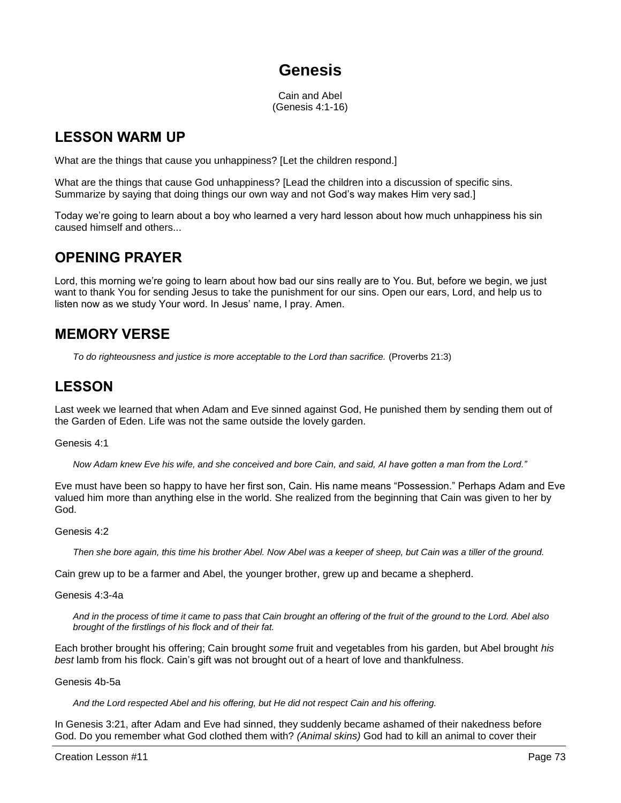# **Genesis**

Cain and Abel (Genesis 4:1-16)

### **LESSON WARM UP**

What are the things that cause you unhappiness? [Let the children respond.]

What are the things that cause God unhappiness? [Lead the children into a discussion of specific sins. Summarize by saying that doing things our own way and not God's way makes Him very sad.]

Today we're going to learn about a boy who learned a very hard lesson about how much unhappiness his sin caused himself and others...

## **OPENING PRAYER**

Lord, this morning we're going to learn about how bad our sins really are to You. But, before we begin, we just want to thank You for sending Jesus to take the punishment for our sins. Open our ears, Lord, and help us to listen now as we study Your word. In Jesus' name, I pray. Amen.

## **MEMORY VERSE**

*To do righteousness and justice is more acceptable to the Lord than sacrifice.* (Proverbs 21:3)

## **LESSON**

Last week we learned that when Adam and Eve sinned against God, He punished them by sending them out of the Garden of Eden. Life was not the same outside the lovely garden.

### Genesis 4:1

*Now Adam knew Eve his wife, and she conceived and bore Cain, and said, AI have gotten a man from the Lord."*

Eve must have been so happy to have her first son, Cain. His name means "Possession." Perhaps Adam and Eve valued him more than anything else in the world. She realized from the beginning that Cain was given to her by God.

### Genesis 4:2

*Then she bore again, this time his brother Abel. Now Abel was a keeper of sheep, but Cain was a tiller of the ground.*

Cain grew up to be a farmer and Abel, the younger brother, grew up and became a shepherd.

### Genesis 4:3-4a

*And in the process of time it came to pass that Cain brought an offering of the fruit of the ground to the Lord. Abel also brought of the firstlings of his flock and of their fat.*

Each brother brought his offering; Cain brought *some* fruit and vegetables from his garden, but Abel brought *his best* lamb from his flock. Cain's gift was not brought out of a heart of love and thankfulness.

### Genesis 4b-5a

*And the Lord respected Abel and his offering, but He did not respect Cain and his offering.*

In Genesis 3:21, after Adam and Eve had sinned, they suddenly became ashamed of their nakedness before God. Do you remember what God clothed them with? *(Animal skins)* God had to kill an animal to cover their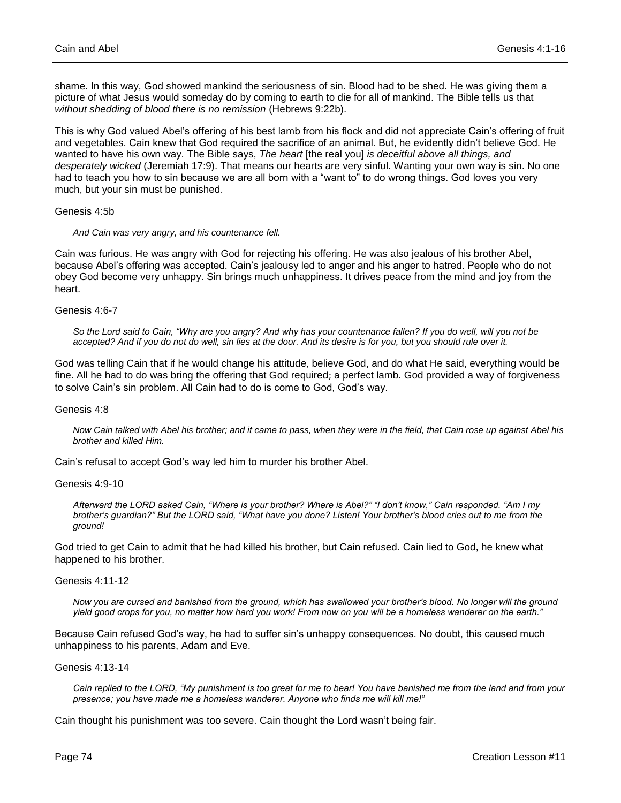shame. In this way, God showed mankind the seriousness of sin. Blood had to be shed. He was giving them a picture of what Jesus would someday do by coming to earth to die for all of mankind. The Bible tells us that *without shedding of blood there is no remission* (Hebrews 9:22b).

This is why God valued Abel's offering of his best lamb from his flock and did not appreciate Cain's offering of fruit and vegetables. Cain knew that God required the sacrifice of an animal. But, he evidently didn't believe God. He wanted to have his own way. The Bible says, *The heart* [the real you] *is deceitful above all things, and desperately wicked* (Jeremiah 17:9). That means our hearts are very sinful. Wanting your own way is sin. No one had to teach you how to sin because we are all born with a "want to" to do wrong things. God loves you very much, but your sin must be punished.

Genesis 4:5b

*And Cain was very angry, and his countenance fell.* 

Cain was furious. He was angry with God for rejecting his offering. He was also jealous of his brother Abel, because Abel's offering was accepted. Cain's jealousy led to anger and his anger to hatred. People who do not obey God become very unhappy. Sin brings much unhappiness. It drives peace from the mind and joy from the heart.

Genesis 4:6-7

*So the Lord said to Cain, "Why are you angry? And why has your countenance fallen? If you do well, will you not be accepted? And if you do not do well, sin lies at the door. And its desire is for you, but you should rule over it.*

God was telling Cain that if he would change his attitude, believe God, and do what He said, everything would be fine. All he had to do was bring the offering that God required; a perfect lamb. God provided a way of forgiveness to solve Cain's sin problem. All Cain had to do is come to God, God's way.

### Genesis 4:8

*Now Cain talked with Abel his brother; and it came to pass, when they were in the field, that Cain rose up against Abel his brother and killed Him.*

Cain's refusal to accept God's way led him to murder his brother Abel.

#### Genesis 4:9-10

*Afterward the LORD asked Cain, "Where is your brother? Where is Abel?" "I don't know," Cain responded. "Am I my brother's guardian?" But the LORD said, "What have you done? Listen! Your brother's blood cries out to me from the ground!* 

God tried to get Cain to admit that he had killed his brother, but Cain refused. Cain lied to God, he knew what happened to his brother.

#### Genesis 4:11-12

*Now you are cursed and banished from the ground, which has swallowed your brother's blood. No longer will the ground yield good crops for you, no matter how hard you work! From now on you will be a homeless wanderer on the earth."* 

Because Cain refused God's way, he had to suffer sin's unhappy consequences. No doubt, this caused much unhappiness to his parents, Adam and Eve.

Genesis 4:13-14

*Cain replied to the LORD, "My punishment is too great for me to bear! You have banished me from the land and from your presence; you have made me a homeless wanderer. Anyone who finds me will kill me!"* 

Cain thought his punishment was too severe. Cain thought the Lord wasn't being fair.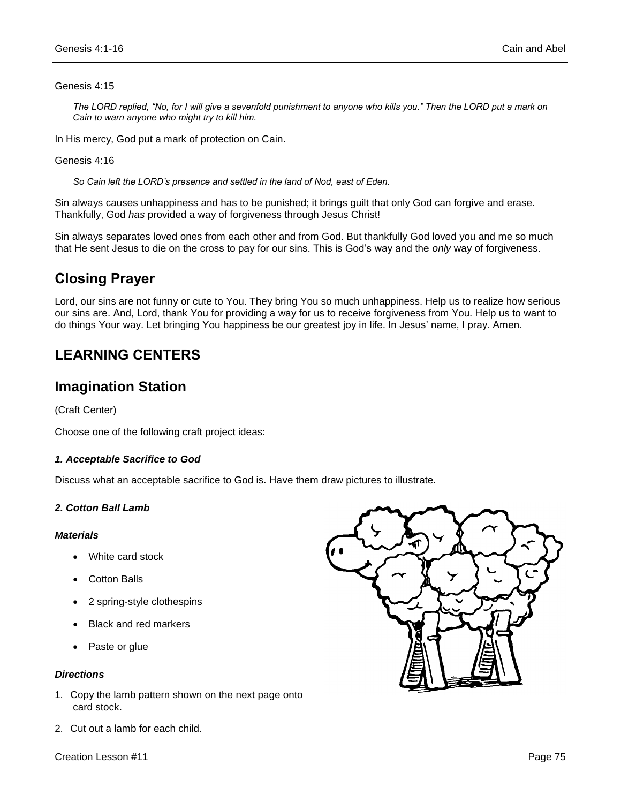### Genesis 4:15

*The LORD replied, "No, for I will give a sevenfold punishment to anyone who kills you." Then the LORD put a mark on Cain to warn anyone who might try to kill him.* 

In His mercy, God put a mark of protection on Cain.

Genesis 4:16

*So Cain left the LORD's presence and settled in the land of Nod, east of Eden.*

Sin always causes unhappiness and has to be punished; it brings guilt that only God can forgive and erase. Thankfully, God *has* provided a way of forgiveness through Jesus Christ!

Sin always separates loved ones from each other and from God. But thankfully God loved you and me so much that He sent Jesus to die on the cross to pay for our sins. This is God's way and the *only* way of forgiveness.

### **Closing Prayer**

Lord, our sins are not funny or cute to You. They bring You so much unhappiness. Help us to realize how serious our sins are. And, Lord, thank You for providing a way for us to receive forgiveness from You. Help us to want to do things Your way. Let bringing You happiness be our greatest joy in life. In Jesus' name, I pray. Amen.

### **LEARNING CENTERS**

### **Imagination Station**

(Craft Center)

Choose one of the following craft project ideas:

### *1. Acceptable Sacrifice to God*

Discuss what an acceptable sacrifice to God is. Have them draw pictures to illustrate.

### *2. Cotton Ball Lamb*

### *Materials*

- White card stock
- Cotton Balls
- 2 spring-style clothespins
- Black and red markers
- Paste or glue

### *Directions*

- 1. Copy the lamb pattern shown on the next page onto card stock.
- 2. Cut out a lamb for each child.

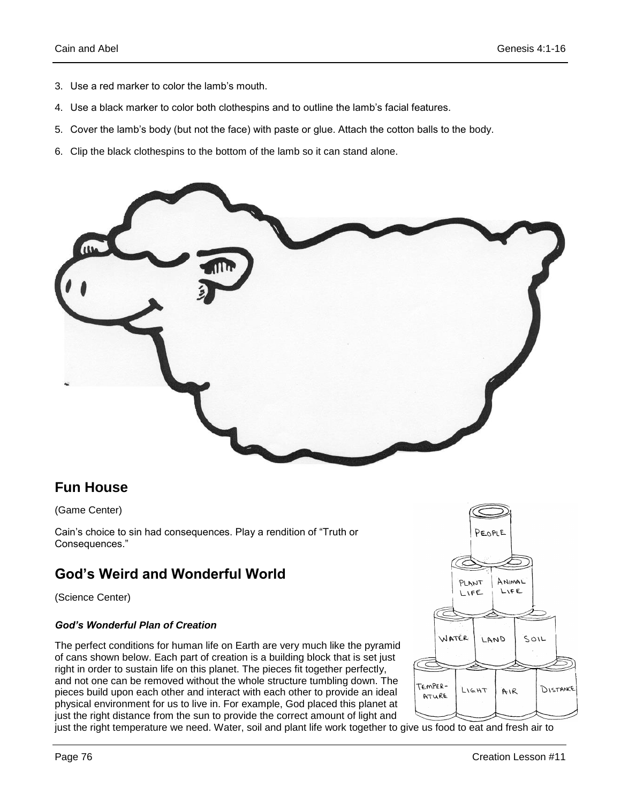- 3. Use a red marker to color the lamb's mouth.
- 4. Use a black marker to color both clothespins and to outline the lamb's facial features.
- 5. Cover the lamb's body (but not the face) with paste or glue. Attach the cotton balls to the body.
- 6. Clip the black clothespins to the bottom of the lamb so it can stand alone.



### **Fun House**

### (Game Center)

Cain's choice to sin had consequences. Play a rendition of "Truth or Consequences."

### **God's Weird and Wonderful World**

(Science Center)

### *God's Wonderful Plan of Creation*

The perfect conditions for human life on Earth are very much like the pyramid of cans shown below. Each part of creation is a building block that is set just right in order to sustain life on this planet. The pieces fit together perfectly, and not one can be removed without the whole structure tumbling down. The pieces build upon each other and interact with each other to provide an ideal physical environment for us to live in. For example, God placed this planet at just the right distance from the sun to provide the correct amount of light and



just the right temperature we need. Water, soil and plant life work together to give us food to eat and fresh air to